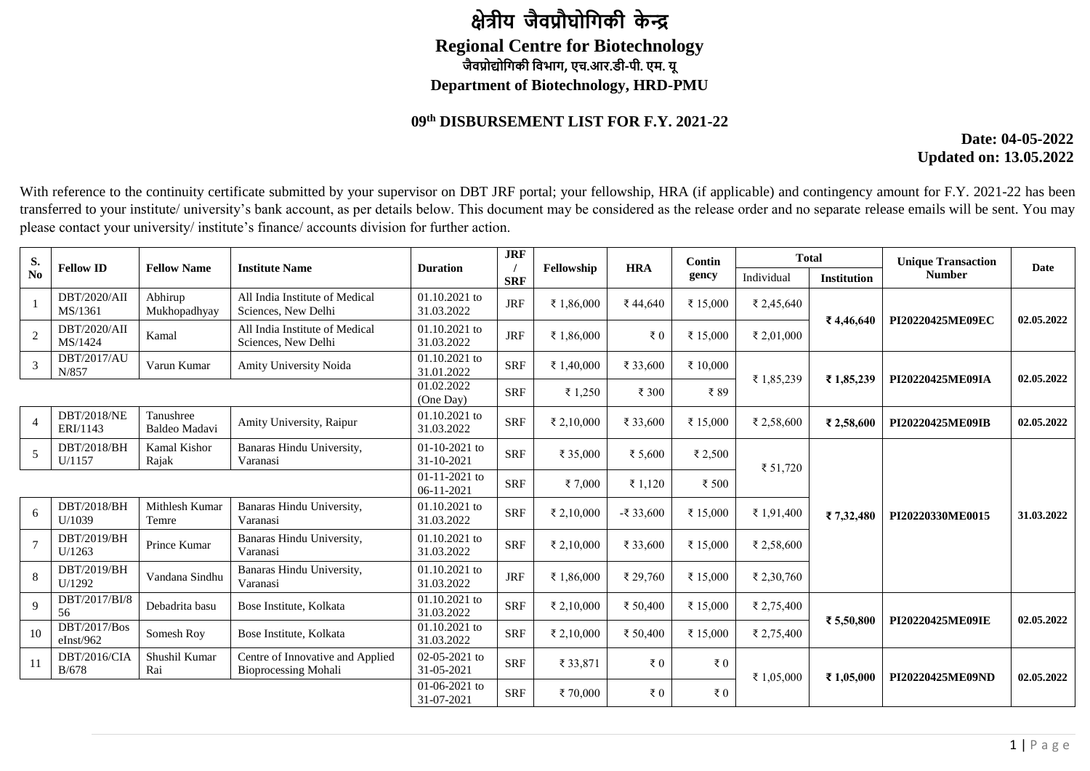## **क्षेत्रीय जैवप्रौघोगिकी के न्द्र Regional Centre for Biotechnology जैवप्रोद्योगिकी गवभाि, एच.आर.डी-पी. एम. यू Department of Biotechnology, HRD-PMU**

## **09 th DISBURSEMENT LIST FOR F.Y. 2021-22**

## **Date: 04-05-2022 Updated on: 13.05.2022**

With reference to the continuity certificate submitted by your supervisor on DBT JRF portal; your fellowship, HRA (if applicable) and contingency amount for F.Y. 2021-22 has been transferred to your institute/ university's bank account, as per details below. This document may be considered as the release order and no separate release emails will be sent. You may please contact your university/ institute's finance/ accounts division for further action.

| S.           | <b>Fellow ID</b>               | <b>Fellow Name</b>         | <b>Institute Name</b>                                           | <b>JRF</b><br>Fellowship<br><b>Duration</b> |            | <b>HRA</b> | Contin       | <b>Total</b> |            | <b>Unique Transaction</b> | <b>Date</b>      |            |
|--------------|--------------------------------|----------------------------|-----------------------------------------------------------------|---------------------------------------------|------------|------------|--------------|--------------|------------|---------------------------|------------------|------------|
| No           |                                |                            |                                                                 |                                             | <b>SRF</b> |            |              | gency        | Individual | <b>Institution</b>        | <b>Number</b>    |            |
|              | DBT/2020/AII<br>MS/1361        | Abhirup<br>Mukhopadhyay    | All India Institute of Medical<br>Sciences, New Delhi           | 01.10.2021 to<br>31.03.2022                 | <b>JRF</b> | ₹ 1,86,000 | ₹44,640      | ₹ 15,000     | ₹ 2,45,640 |                           | PI20220425ME09EC | 02.05.2022 |
| 2            | DBT/2020/AII<br>MS/1424        | Kamal                      | All India Institute of Medical<br>Sciences, New Delhi           | 01.10.2021 to<br>31.03.2022                 | <b>JRF</b> | ₹ 1.86,000 | ₹ $0$        | ₹ 15.000     | ₹ 2.01.000 | ₹4,46,640                 |                  |            |
| 3            | DBT/2017/AU<br>N/857           | Varun Kumar                | Amity University Noida                                          | 01.10.2021 to<br>31.01.2022                 | <b>SRF</b> | ₹ 1,40,000 | ₹ 33,600     | ₹ 10,000     | ₹ 1,85,239 | ₹1,85,239                 | PI20220425ME09IA | 02.05.2022 |
|              |                                |                            |                                                                 | 01.02.2022<br>(One Day)                     | <b>SRF</b> | ₹ 1,250    | ₹ 300        | ₹89          |            |                           |                  |            |
|              | <b>DBT/2018/NE</b><br>ERI/1143 | Tanushree<br>Baldeo Madavi | Amity University, Raipur                                        | $01.10.2021$ to<br>31.03.2022               | <b>SRF</b> | ₹ 2,10,000 | ₹ 33,600     | ₹ 15,000     | ₹ 2,58,600 | ₹ 2,58,600                | PI20220425ME09IB | 02.05.2022 |
| 5            | DBT/2018/BH<br>U/1157          | Kamal Kishor<br>Rajak      | Banaras Hindu University,<br>Varanasi                           | $01-10-2021$ to<br>31-10-2021               | <b>SRF</b> | ₹ 35,000   | ₹ $5,600$    | ₹ 2,500      | ₹ 51,720   |                           |                  |            |
|              |                                |                            |                                                                 | $01-11-2021$ to<br>06-11-2021               | <b>SRF</b> | ₹7,000     | ₹ 1,120      | ₹ 500        |            |                           |                  |            |
| 6            | <b>DBT/2018/BH</b><br>U/1039   | Mithlesh Kumar<br>Temre    | Banaras Hindu University,<br>Varanasi                           | 01.10.2021 to<br>31.03.2022                 | <b>SRF</b> | ₹ 2,10,000 | $-$ ₹ 33,600 | ₹ 15,000     | ₹ 1,91,400 | ₹7,32,480                 | PI20220330ME0015 | 31.03.2022 |
|              | DBT/2019/BH<br>U/1263          | Prince Kumar               | Banaras Hindu University,<br>Varanasi                           | 01.10.2021 to<br>31.03.2022                 | <b>SRF</b> | ₹ 2,10,000 | ₹ 33,600     | ₹ 15,000     | ₹ 2,58,600 |                           |                  |            |
| 8            | DBT/2019/BH<br>U/1292          | Vandana Sindhu             | Banaras Hindu University,<br>Varanasi                           | $01.10.2021$ to<br>31.03.2022               | <b>JRF</b> | ₹ 1,86,000 | ₹ 29,760     | ₹ 15,000     | ₹ 2,30,760 |                           |                  |            |
| $\mathbf{Q}$ | DBT/2017/BI/8<br>56            | Debadrita basu             | Bose Institute, Kolkata                                         | 01.10.2021 to<br>31.03.2022                 | <b>SRF</b> | ₹ 2,10,000 | ₹ 50,400     | ₹ 15,000     | ₹ 2,75,400 | ₹ 5,50,800                | PI20220425ME09IE | 02.05.2022 |
| 10           | DBT/2017/Bos<br>elnst/962      | Somesh Roy                 | Bose Institute, Kolkata                                         | 01.10.2021 to<br>31.03.2022                 | <b>SRF</b> | ₹ 2,10,000 | ₹ 50,400     | ₹ 15,000     | ₹ 2,75,400 |                           |                  |            |
| -11          | DBT/2016/CIA<br>B/678          | Shushil Kumar<br>Rai       | Centre of Innovative and Applied<br><b>Bioprocessing Mohali</b> | $02-05-2021$ to<br>31-05-2021               | <b>SRF</b> | ₹ 33,871   | ₹ $0$        | ₹ $0$        | ₹ 1,05,000 | ₹1,05,000                 | PI20220425ME09ND | 02.05.2022 |
|              |                                |                            |                                                                 | $01-06-2021$ to<br>31-07-2021               | <b>SRF</b> | ₹70,000    | ₹ $0$        | ₹ $0$        |            |                           |                  |            |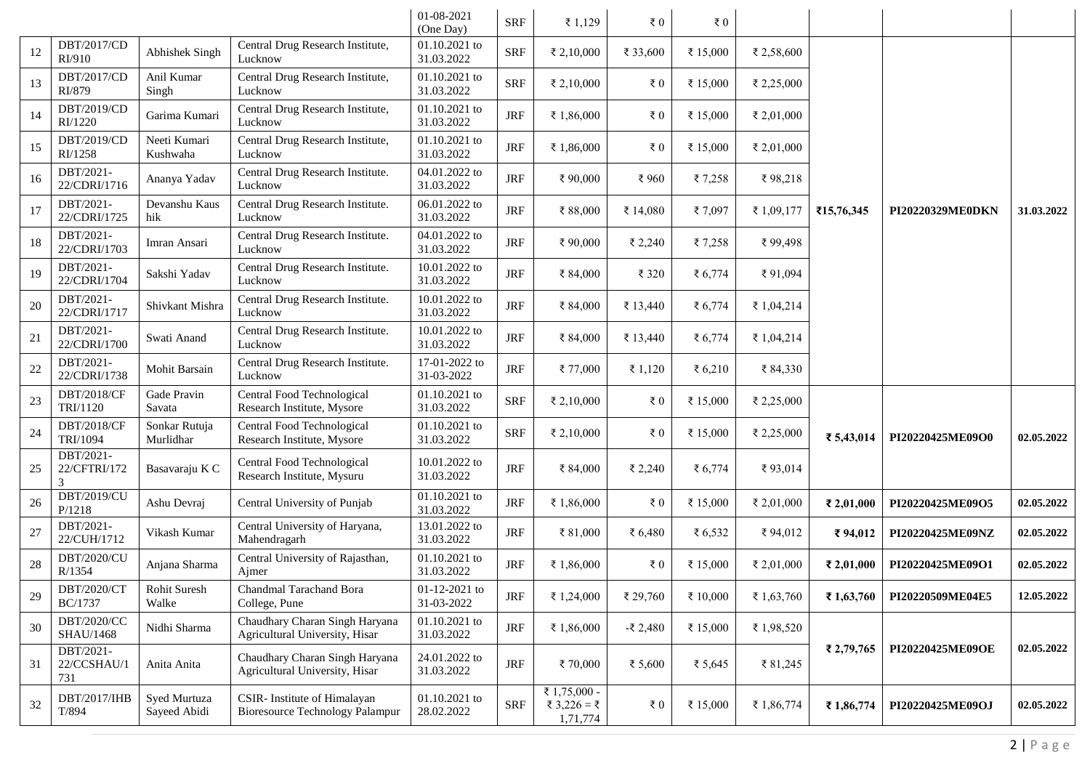|    |                                       |                              |                                                                        | 01-08-2021<br>(One Day)     | <b>SRF</b> | ₹ 1,129                                 | ₹ $0$        | $\epsilon$ 0 |            |            |                  |            |
|----|---------------------------------------|------------------------------|------------------------------------------------------------------------|-----------------------------|------------|-----------------------------------------|--------------|--------------|------------|------------|------------------|------------|
| 12 | DBT/2017/CD<br>RI/910                 | Abhishek Singh               | Central Drug Research Institute,<br>Lucknow                            | 01.10.2021 to<br>31.03.2022 | <b>SRF</b> | ₹ 2,10,000                              | ₹ 33,600     | ₹ 15,000     | ₹ 2,58,600 |            |                  |            |
| 13 | DBT/2017/CD<br>RI/879                 | Anil Kumar<br>Singh          | Central Drug Research Institute,<br>Lucknow                            | 01.10.2021 to<br>31.03.2022 | <b>SRF</b> | ₹ 2,10,000                              | ₹ $0$        | ₹ 15,000     | ₹ 2,25,000 |            |                  |            |
| 14 | DBT/2019/CD<br>RI/1220                | Garima Kumari                | Central Drug Research Institute,<br>Lucknow                            | 01.10.2021 to<br>31.03.2022 | <b>JRF</b> | ₹1,86,000                               | ₹ $0$        | ₹ 15,000     | ₹ 2,01,000 |            |                  |            |
| 15 | DBT/2019/CD<br>RI/1258                | Neeti Kumari<br>Kushwaha     | Central Drug Research Institute,<br>Lucknow                            | 01.10.2021 to<br>31.03.2022 | <b>JRF</b> | ₹1,86,000                               | ₹ $0$        | ₹ 15,000     | ₹ 2,01,000 |            |                  |            |
| 16 | DBT/2021-<br>22/CDRI/1716             | Ananya Yadav                 | Central Drug Research Institute.<br>Lucknow                            | 04.01.2022 to<br>31.03.2022 | <b>JRF</b> | ₹90,000                                 | ₹960         | ₹7,258       | ₹98,218    |            |                  |            |
| 17 | DBT/2021-<br>22/CDRI/1725             | Devanshu Kaus<br>hik         | Central Drug Research Institute.<br>Lucknow                            | 06.01.2022 to<br>31.03.2022 | <b>JRF</b> | ₹ 88,000                                | ₹ 14,080     | ₹7,097       | ₹ 1,09,177 | ₹15,76,345 | PI20220329ME0DKN | 31.03.2022 |
| 18 | DBT/2021-<br>22/CDRI/1703             | Imran Ansari                 | Central Drug Research Institute.<br>Lucknow                            | 04.01.2022 to<br>31.03.2022 | <b>JRF</b> | ₹90,000                                 | ₹ 2,240      | ₹7,258       | ₹ 99,498   |            |                  |            |
| 19 | DBT/2021-<br>22/CDRI/1704             | Sakshi Yadav                 | Central Drug Research Institute.<br>Lucknow                            | 10.01.2022 to<br>31.03.2022 | <b>JRF</b> | ₹ 84,000                                | ₹ 320        | ₹ 6,774      | ₹ 91,094   |            |                  |            |
| 20 | DBT/2021-<br>22/CDRI/1717             | Shivkant Mishra              | Central Drug Research Institute.<br>Lucknow                            | 10.01.2022 to<br>31.03.2022 | <b>JRF</b> | ₹ 84,000                                | ₹ 13,440     | ₹ 6,774      | ₹ 1,04,214 |            |                  |            |
| 21 | DBT/2021-<br>22/CDRI/1700             | Swati Anand                  | Central Drug Research Institute.<br>Lucknow                            | 10.01.2022 to<br>31.03.2022 | <b>JRF</b> | ₹ 84,000                                | ₹ 13,440     | ₹ 6,774      | ₹ 1,04,214 |            |                  |            |
| 22 | DBT/2021-<br>22/CDRI/1738             | <b>Mohit Barsain</b>         | Central Drug Research Institute.<br>Lucknow                            | 17-01-2022 to<br>31-03-2022 | <b>JRF</b> | ₹ 77,000                                | ₹ 1,120      | ₹ $6,210$    | ₹ 84,330   |            |                  |            |
| 23 | DBT/2018/CF<br>TRI/1120               | Gade Pravin<br>Savata        | Central Food Technological<br>Research Institute, Mysore               | 01.10.2021 to<br>31.03.2022 | <b>SRF</b> | ₹ 2,10,000                              | ₹ $0$        | ₹ 15,000     | ₹ 2,25,000 |            |                  |            |
| 24 | DBT/2018/CF<br>TRI/1094               | Sonkar Rutuja<br>Murlidhar   | Central Food Technological<br>Research Institute, Mysore               | 01.10.2021 to<br>31.03.2022 | <b>SRF</b> | ₹ 2,10,000                              | ₹ $0$        | ₹ 15,000     | ₹ 2,25,000 | ₹ 5,43,014 | PI20220425ME09O0 | 02.05.2022 |
| 25 | DBT/2021-<br>22/CFTRI/172<br>3        | Basavaraju K C               | Central Food Technological<br>Research Institute, Mysuru               | 10.01.2022 to<br>31.03.2022 | <b>JRF</b> | ₹ 84,000                                | ₹ 2,240      | ₹ $6,774$    | ₹93,014    |            |                  |            |
| 26 | DBT/2019/CU<br>P/1218                 | Ashu Devraj                  | Central University of Punjab                                           | 01.10.2021 to<br>31.03.2022 | <b>JRF</b> | ₹ 1,86,000                              | ₹ $0$        | ₹ 15,000     | ₹ 2,01,000 | ₹ 2,01,000 | PI20220425ME09O5 | 02.05.2022 |
| 27 | DBT/2021-<br>22/CUH/1712              | Vikash Kumar                 | Central University of Haryana,<br>Mahendragarh                         | 13.01.2022 to<br>31.03.2022 | <b>JRF</b> | ₹ 81,000                                | ₹ $6,480$    | ₹ 6,532      | ₹94,012    | ₹94,012    | PI20220425ME09NZ | 02.05.2022 |
| 28 | DBT/2020/CU<br>R/1354                 | Anjana Sharma                | Central University of Rajasthan,<br>Ajmer                              | 01.10.2021 to<br>31.03.2022 | <b>JRF</b> | ₹ 1,86,000                              | ₹ $0$        | ₹ 15,000     | ₹ 2,01,000 | ₹ 2,01,000 | PI20220425ME09O1 | 02.05.2022 |
| 29 | <b>DBT/2020/CT</b><br>BC/1737         | Rohit Suresh<br>Walke        | Chandmal Tarachand Bora<br>College, Pune                               | 01-12-2021 to<br>31-03-2022 | <b>JRF</b> | ₹ 1,24,000                              | ₹ 29,760     | ₹ 10,000     | ₹ 1,63,760 | ₹ 1,63,760 | PI20220509ME04E5 | 12.05.2022 |
| 30 | $\rm DBT/2020/CC$<br><b>SHAU/1468</b> | Nidhi Sharma                 | Chaudhary Charan Singh Haryana<br>Agricultural University, Hisar       | 01.10.2021 to<br>31.03.2022 | <b>JRF</b> | ₹ 1,86,000                              | $-$ ₹ 2,480  | ₹ 15,000     | ₹ 1,98,520 |            |                  |            |
| 31 | DBT/2021-<br>22/CCSHAU/1<br>731       | Anita Anita                  | Chaudhary Charan Singh Haryana<br>Agricultural University, Hisar       | 24.01.2022 to<br>31.03.2022 | <b>JRF</b> | ₹70,000                                 | ₹ 5,600      | ₹ 5,645      | ₹ 81,245   | ₹ 2,79,765 | PI20220425ME09OE | 02.05.2022 |
| 32 | DBT/2017/IHB<br>T/894                 | Syed Murtuza<br>Sayeed Abidi | CSIR- Institute of Himalayan<br><b>Bioresource Technology Palampur</b> | 01.10.2021 to<br>28.02.2022 | <b>SRF</b> | ₹ 1,75,000 -<br>₹ 3,226 = ₹<br>1,71,774 | $\epsilon$ 0 | ₹ 15,000     | ₹ 1,86,774 | ₹1,86,774  | PI20220425ME09OJ | 02.05.2022 |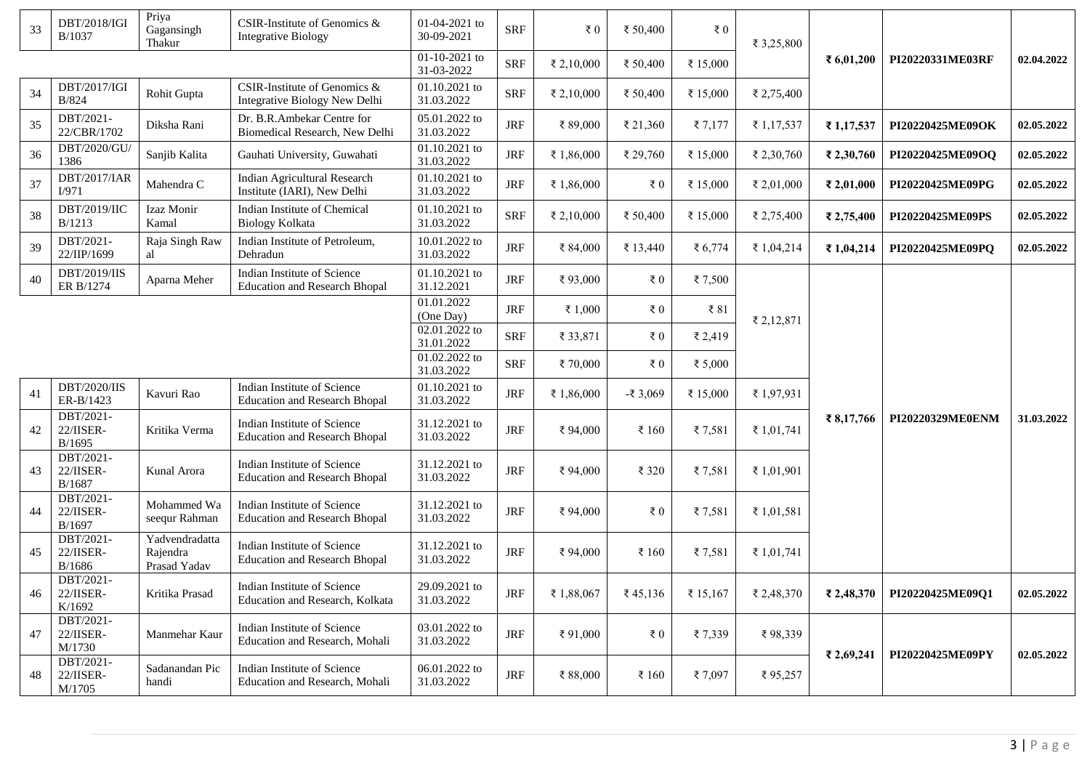| 33 | DBT/2018/IGI<br>B/1037           | Priya<br>Gagansingh<br>Thakur              | CSIR-Institute of Genomics &<br><b>Integrative Biology</b>          | 01-04-2021 to<br>30-09-2021 | <b>SRF</b> | ₹ $0$      | ₹ 50,400       | ₹ $0$     | ₹ 3,25,800 |              |                               |            |
|----|----------------------------------|--------------------------------------------|---------------------------------------------------------------------|-----------------------------|------------|------------|----------------|-----------|------------|--------------|-------------------------------|------------|
|    |                                  |                                            |                                                                     | 01-10-2021 to<br>31-03-2022 | <b>SRF</b> | ₹ 2,10,000 | ₹ 50,400       | ₹ 15,000  |            | ₹ $6,01,200$ | PI20220331ME03RF              | 02.04.2022 |
| 34 | DBT/2017/IGI<br><b>B</b> /824    | Rohit Gupta                                | CSIR-Institute of Genomics &<br>Integrative Biology New Delhi       | 01.10.2021 to<br>31.03.2022 | <b>SRF</b> | ₹ 2,10,000 | ₹ 50,400       | ₹ 15,000  | ₹ 2,75,400 |              |                               |            |
| 35 | DBT/2021-<br>22/CBR/1702         | Diksha Rani                                | Dr. B.R.Ambekar Centre for<br>Biomedical Research, New Delhi        | 05.01.2022 to<br>31.03.2022 | <b>JRF</b> | ₹ 89,000   | ₹ 21,360       | ₹ 7,177   | ₹ 1,17,537 | ₹1,17,537    | PI20220425ME09OK              | 02.05.2022 |
| 36 | DBT/2020/GU/<br>1386             | Sanjib Kalita                              | Gauhati University, Guwahati                                        | 01.10.2021 to<br>31.03.2022 | <b>JRF</b> | ₹1,86,000  | ₹ 29,760       | ₹ 15,000  | ₹ 2,30,760 | ₹ 2,30,760   | PI20220425ME09OQ              | 02.05.2022 |
| 37 | <b>DBT/2017/IAR</b><br>I/971     | Mahendra C                                 | <b>Indian Agricultural Research</b><br>Institute (IARI), New Delhi  | 01.10.2021 to<br>31.03.2022 | <b>JRF</b> | ₹ 1,86,000 | $\epsilon$ 0   | ₹ 15,000  | ₹ 2,01,000 | ₹ 2,01,000   | PI20220425ME09PG              | 02.05.2022 |
| 38 | DBT/2019/IIC<br>B/1213           | Izaz Monir<br>Kamal                        | Indian Institute of Chemical<br><b>Biology Kolkata</b>              | 01.10.2021 to<br>31.03.2022 | <b>SRF</b> | ₹ 2,10,000 | ₹ 50,400       | ₹ 15,000  | ₹ 2,75,400 | ₹ 2,75,400   | PI20220425ME09PS              | 02.05.2022 |
| 39 | DBT/2021-<br>22/IIP/1699         | Raja Singh Raw<br>al                       | Indian Institute of Petroleum,<br>Dehradun                          | 10.01.2022 to<br>31.03.2022 | <b>JRF</b> | ₹ 84,000   | ₹ 13,440       | ₹ 6,774   | ₹ 1,04,214 | ₹1,04,214    | PI20220425ME09PQ              | 02.05.2022 |
| 40 | DBT/2019/IIS<br>ER B/1274        | Aparna Meher                               | Indian Institute of Science<br><b>Education and Research Bhopal</b> | 01.10.2021 to<br>31.12.2021 | <b>JRF</b> | ₹93,000    | $\epsilon$ 0   | ₹7,500    |            |              |                               |            |
|    |                                  |                                            |                                                                     | 01.01.2022<br>(One Day)     | <b>JRF</b> | ₹ 1,000    | ₹ $0$          | ₹81       | ₹ 2,12,871 |              |                               |            |
|    |                                  |                                            |                                                                     | 02.01.2022 to<br>31.01.2022 | <b>SRF</b> | ₹ 33,871   | ₹ $0$          | ₹ 2,419   |            |              |                               |            |
|    |                                  |                                            |                                                                     | 01.02.2022 to<br>31.03.2022 | <b>SRF</b> | ₹70,000    | ₹ $0$          | ₹ $5,000$ |            |              |                               |            |
| 41 | <b>DBT/2020/IIS</b><br>ER-B/1423 | Kavuri Rao                                 | Indian Institute of Science<br><b>Education and Research Bhopal</b> | 01.10.2021 to<br>31.03.2022 | <b>JRF</b> | ₹ 1,86,000 | $-$ ₹ 3,069    | ₹ 15,000  | ₹ 1,97,931 |              |                               |            |
| 42 | DBT/2021-<br>22/IISER-<br>B/1695 | Kritika Verma                              | Indian Institute of Science<br><b>Education and Research Bhopal</b> | 31.12.2021 to<br>31.03.2022 | <b>JRF</b> | ₹94,000    | ₹ 160          | ₹7,581    | ₹ 1,01,741 | ₹8,17,766    | PI20220329ME0ENM              | 31.03.2022 |
| 43 | DBT/2021-<br>22/IISER-<br>B/1687 | Kunal Arora                                | Indian Institute of Science<br><b>Education and Research Bhopal</b> | 31.12.2021 to<br>31.03.2022 | <b>JRF</b> | ₹ 94,000   | ₹ 320          | ₹7,581    | ₹ 1,01,901 |              |                               |            |
| 44 | DBT/2021-<br>22/IISER-<br>B/1697 | Mohammed Wa<br>seequr Rahman               | Indian Institute of Science<br><b>Education and Research Bhopal</b> | 31.12.2021 to<br>31.03.2022 | <b>JRF</b> | ₹ 94,000   | ₹ $0$          | ₹7,581    | ₹ 1,01,581 |              |                               |            |
| 45 | DBT/2021-<br>22/IISER-<br>B/1686 | Yadvendradatta<br>Rajendra<br>Prasad Yadav | Indian Institute of Science<br><b>Education and Research Bhopal</b> | 31.12.2021 to<br>31.03.2022 | <b>JRF</b> | ₹ 94,000   | ₹ 160          | ₹7,581    | ₹ 1,01,741 |              |                               |            |
| 46 | DBT/2021-<br>22/IISER-<br>K/1692 | Kritika Prasad                             | Indian Institute of Science<br>Education and Research, Kolkata      | 29.09.2021 to<br>31.03.2022 | <b>JRF</b> | ₹ 1,88,067 | ₹45,136        | ₹ 15,167  | ₹ 2,48,370 |              | ₹ 2,48,370   PI20220425ME09Q1 | 02.05.2022 |
| 47 | DBT/2021-<br>22/IISER-<br>M/1730 | Manmehar Kaur                              | Indian Institute of Science<br>Education and Research, Mohali       | 03.01.2022 to<br>31.03.2022 | <b>JRF</b> | ₹91,000    | $\bar{\tau}$ 0 | ₹7,339    | ₹98,339    |              |                               |            |
| 48 | DBT/2021-<br>22/IISER-<br>M/1705 | Sadanandan Pic<br>handi                    | Indian Institute of Science<br>Education and Research, Mohali       | 06.01.2022 to<br>31.03.2022 | $\rm JRF$  | ₹ 88,000   | ₹ 160          | ₹7,097    | ₹95,257    | ₹ 2,69,241   | PI20220425ME09PY              | 02.05.2022 |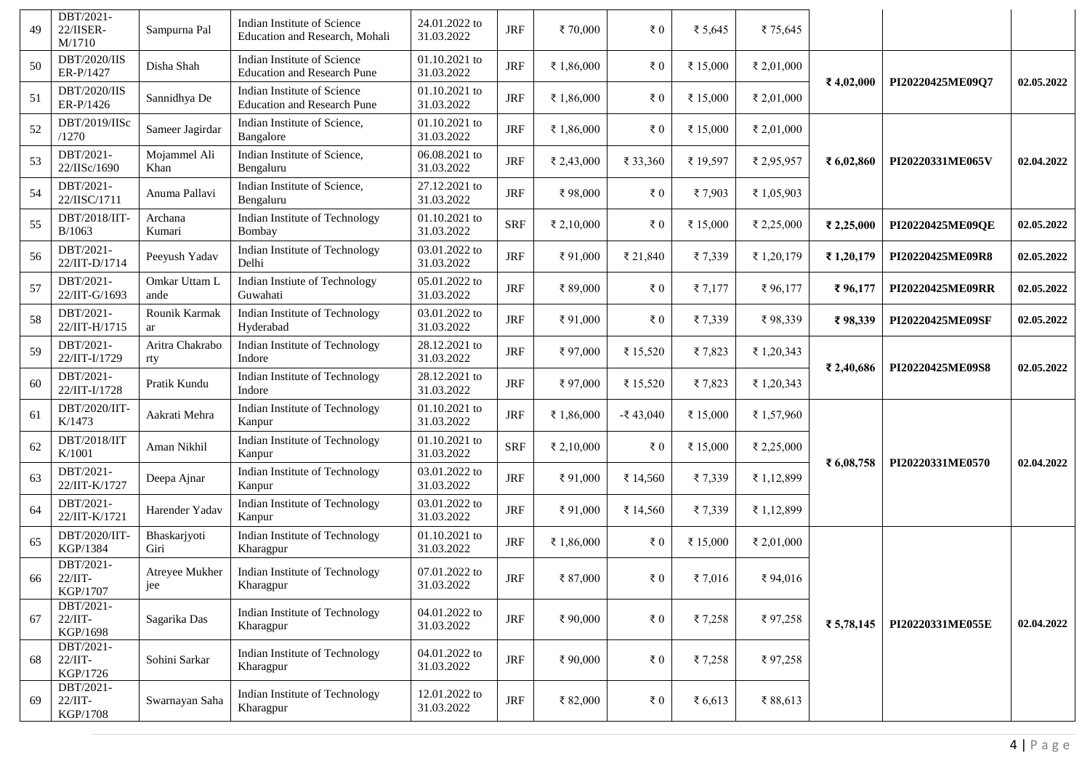| 49 | DBT/2021-<br>22/IISER-<br>M/1710    | Sampurna Pal           | Indian Institute of Science<br>Education and Research, Mohali     | 24.01.2022 to<br>31.03.2022 | <b>JRF</b>           | ₹70,000    | ₹ $0$          | ₹ 5,645  | ₹75,645    |              |                  |            |
|----|-------------------------------------|------------------------|-------------------------------------------------------------------|-----------------------------|----------------------|------------|----------------|----------|------------|--------------|------------------|------------|
| 50 | DBT/2020/IIS<br>ER-P/1427           | Disha Shah             | Indian Institute of Science<br><b>Education and Research Pune</b> | 01.10.2021 to<br>31.03.2022 | <b>JRF</b>           | ₹ 1,86,000 | $\epsilon$ 0   | ₹ 15,000 | ₹ 2,01,000 |              |                  | 02.05.2022 |
| 51 | DBT/2020/IIS<br>ER-P/1426           | Sannidhya De           | Indian Institute of Science<br><b>Education and Research Pune</b> | 01.10.2021 to<br>31.03.2022 | <b>JRF</b>           | ₹1.86.000  | ₹0             | ₹ 15,000 | ₹ 2,01,000 | ₹4,02,000    | PI20220425ME09Q7 |            |
| 52 | DBT/2019/IISc<br>/1270              | Sameer Jagirdar        | Indian Institute of Science,<br>Bangalore                         | 01.10.2021 to<br>31.03.2022 | <b>JRF</b>           | ₹ 1,86,000 | ₹ $0$          | ₹ 15,000 | ₹ 2,01,000 |              |                  |            |
| 53 | DBT/2021-<br>22/IISc/1690           | Mojammel Ali<br>Khan   | Indian Institute of Science,<br>Bengaluru                         | 06.08.2021 to<br>31.03.2022 | <b>JRF</b>           | ₹ 2,43,000 | ₹ 33,360       | ₹ 19,597 | ₹ 2,95,957 | ₹ $6,02,860$ | PI20220331ME065V | 02.04.2022 |
| 54 | DBT/2021-<br>22/IISC/1711           | Anuma Pallavi          | Indian Institute of Science,<br>Bengaluru                         | 27.12.2021 to<br>31.03.2022 | <b>JRF</b>           | ₹98,000    | ₹ $0$          | ₹7,903   | ₹ 1,05,903 |              |                  |            |
| 55 | DBT/2018/IIT-<br>B/1063             | Archana<br>Kumari      | Indian Institute of Technology<br>Bombay                          | 01.10.2021 to<br>31.03.2022 | <b>SRF</b>           | ₹ 2,10,000 | ₹ $0$          | ₹ 15,000 | ₹ 2,25,000 | ₹ 2,25,000   | PI20220425ME09QE | 02.05.2022 |
| 56 | DBT/2021-<br>22/IIT-D/1714          | Peeyush Yadav          | Indian Institute of Technology<br>Delhi                           | 03.01.2022 to<br>31.03.2022 | <b>JRF</b>           | ₹91,000    | ₹ 21,840       | ₹7,339   | ₹ 1,20,179 | ₹1,20,179    | PI20220425ME09R8 | 02.05.2022 |
| 57 | DBT/2021-<br>22/IIT-G/1693          | Omkar Uttam L<br>ande  | Indian Instiute of Technology<br>Guwahati                         | 05.01.2022 to<br>31.03.2022 | <b>JRF</b>           | ₹ 89,000   | ₹ $0$          | ₹ 7,177  | ₹96,177    | ₹96,177      | PI20220425ME09RR | 02.05.2022 |
| 58 | DBT/2021-<br>22/IIT-H/1715          | Rounik Karmak<br>ar    | Indian Institute of Technology<br>Hyderabad                       | 03.01.2022 to<br>31.03.2022 | <b>JRF</b>           | ₹91,000    | ₹0             | ₹7,339   | ₹98,339    | ₹98,339      | PI20220425ME09SF | 02.05.2022 |
| 59 | DBT/2021-<br>22/IIT-I/1729          | Aritra Chakrabo<br>rty | Indian Institute of Technology<br>Indore                          | 28.12.2021 to<br>31.03.2022 | <b>JRF</b>           | ₹97,000    | ₹ 15,520       | ₹7,823   | ₹ 1,20,343 |              | PI20220425ME09S8 | 02.05.2022 |
| 60 | DBT/2021-<br>22/IIT-I/1728          | Pratik Kundu           | Indian Institute of Technology<br>Indore                          | 28.12.2021 to<br>31.03.2022 | <b>JRF</b>           | ₹97,000    | ₹ 15,520       | ₹7,823   | ₹ 1,20,343 | ₹ 2,40,686   |                  |            |
| 61 | DBT/2020/IIT-<br>K/1473             | Aakrati Mehra          | Indian Institute of Technology<br>Kanpur                          | 01.10.2021 to<br>31.03.2022 | <b>JRF</b>           | ₹ 1,86,000 | -₹43,040       | ₹ 15,000 | ₹ 1,57,960 |              |                  |            |
| 62 | DBT/2018/IIT<br>K/1001              | Aman Nikhil            | Indian Institute of Technology<br>Kanpur                          | 01.10.2021 to<br>31.03.2022 | <b>SRF</b>           | ₹ 2,10,000 | $\epsilon$ 0   | ₹ 15,000 | ₹ 2,25,000 | ₹ 6,08,758   | PI20220331ME0570 | 02.04.2022 |
| 63 | DBT/2021-<br>22/IIT-K/1727          | Deepa Ajnar            | Indian Institute of Technology<br>Kanpur                          | 03.01.2022 to<br>31.03.2022 | <b>JRF</b>           | ₹91,000    | ₹ 14,560       | ₹7,339   | ₹ 1,12,899 |              |                  |            |
| 64 | DBT/2021-<br>22/IIT-K/1721          | Harender Yadav         | Indian Institute of Technology<br>Kanpur                          | 03.01.2022 to<br>31.03.2022 | <b>JRF</b>           | ₹91,000    | ₹ 14,560       | ₹7,339   | ₹ 1,12,899 |              |                  |            |
| 65 | DBT/2020/IIT-<br>KGP/1384           | Bhaskarjyoti<br>Giri   | Indian Institute of Technology<br>Kharagpur                       | 01.10.2021 to<br>31.03.2022 | <b>JRF</b>           | ₹ 1,86,000 | ₹ $0$          | ₹ 15,000 | ₹ 2,01,000 |              |                  |            |
| 66 | DBT/2021-<br>$22/III$ -<br>KGP/1707 | Atreyee Mukher<br>jee  | Indian Institute of Technology<br>Kharagpur                       | 07.01.2022 to<br>31.03.2022 | $\rm JRF$            | ₹ 87,000   | $\epsilon$ 0   | ₹7,016   | ₹94,016    |              |                  |            |
| 67 | DBT/2021-<br>$22/III$ -<br>KGP/1698 | Sagarika Das           | Indian Institute of Technology<br>Kharagpur                       | 04.01.2022 to<br>31.03.2022 | JRF                  | ₹90,000    | $\bar{\tau}$ 0 | ₹7,258   | ₹97,258    | ₹ 5,78,145   | PI20220331ME055E | 02.04.2022 |
| 68 | DBT/2021-<br>$22/III$ -<br>KGP/1726 | Sohini Sarkar          | Indian Institute of Technology<br>Kharagpur                       | 04.01.2022 to<br>31.03.2022 | $\operatorname{JRF}$ | ₹90,000    | $\epsilon$ 0   | ₹7,258   | ₹97,258    |              |                  |            |
| 69 | DBT/2021-<br>$22/III$ -<br>KGP/1708 | Swarnayan Saha         | Indian Institute of Technology<br>Kharagpur                       | 12.01.2022 to<br>31.03.2022 | <b>JRF</b>           | ₹ 82,000   | ₹ $0$          | ₹ 6,613  | ₹ 88,613   |              |                  |            |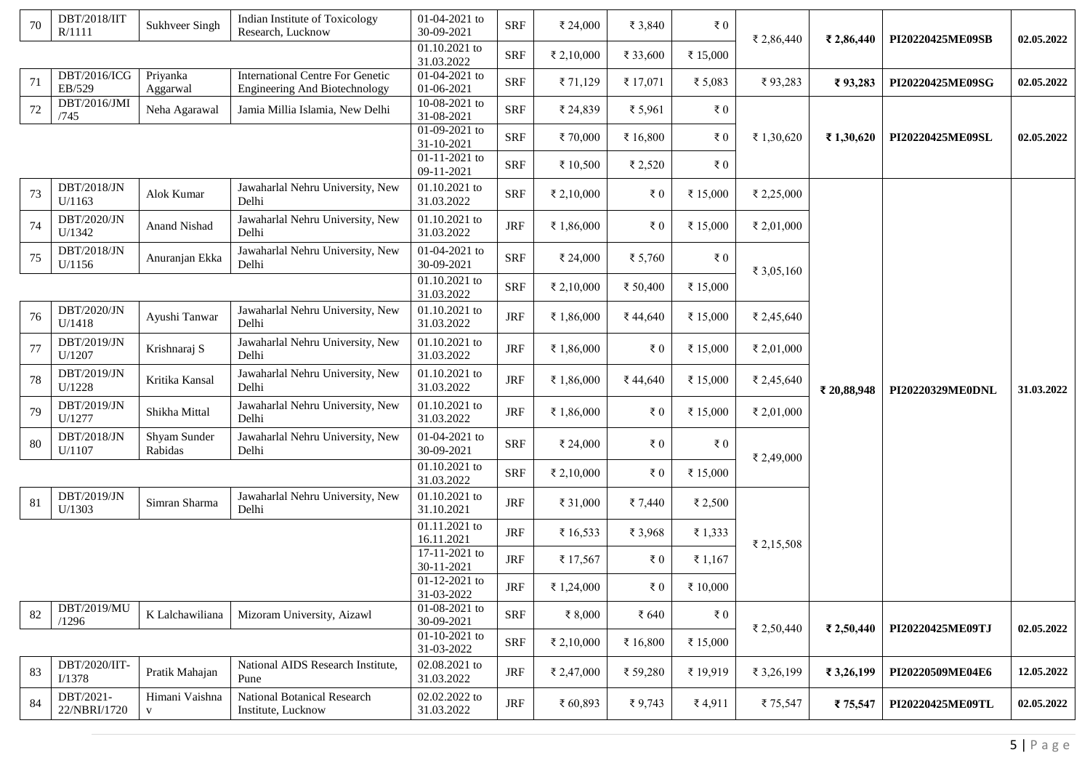| 70 | DBT/2018/IIT<br>R/1111    | Sukhveer Singh                 | Indian Institute of Toxicology<br>Research, Lucknow                             | 01-04-2021 to<br>30-09-2021   | <b>SRF</b> | ₹ 24,000   | ₹ 3,840      | $\epsilon$ 0 | ₹ 2,86,440 | ₹ 2,86,440  | PI20220425ME09SB | 02.05.2022 |
|----|---------------------------|--------------------------------|---------------------------------------------------------------------------------|-------------------------------|------------|------------|--------------|--------------|------------|-------------|------------------|------------|
|    |                           |                                |                                                                                 | 01.10.2021 to<br>31.03.2022   | <b>SRF</b> | ₹ 2,10,000 | ₹ 33,600     | ₹ 15,000     |            |             |                  |            |
| 71 | DBT/2016/ICG<br>EB/529    | Priyanka<br>Aggarwal           | <b>International Centre For Genetic</b><br><b>Engineering And Biotechnology</b> | 01-04-2021 to<br>01-06-2021   | <b>SRF</b> | ₹71,129    | ₹ 17,071     | ₹ $5,083$    | ₹93,283    | ₹93,283     | PI20220425ME09SG | 02.05.2022 |
| 72 | DBT/2016/JMI<br>/745      | Neha Agarawal                  | Jamia Millia Islamia, New Delhi                                                 | 10-08-2021 to<br>31-08-2021   | <b>SRF</b> | ₹ 24,839   | ₹ 5,961      | $\epsilon$ 0 |            |             |                  |            |
|    |                           |                                |                                                                                 | $01-09-2021$ to<br>31-10-2021 | <b>SRF</b> | ₹70,000    | ₹ 16,800     | ₹ 0          | ₹ 1,30,620 | ₹1,30,620   | PI20220425ME09SL | 02.05.2022 |
|    |                           |                                |                                                                                 | 01-11-2021 to<br>09-11-2021   | <b>SRF</b> | ₹ 10,500   | ₹ 2,520      | $\epsilon$ 0 |            |             |                  |            |
| 73 | DBT/2018/JN<br>U/1163     | Alok Kumar                     | Jawaharlal Nehru University, New<br>Delhi                                       | 01.10.2021 to<br>31.03.2022   | <b>SRF</b> | ₹ 2.10.000 | ₹ $0$        | ₹ 15,000     | ₹ 2,25,000 |             |                  |            |
| 74 | DBT/2020/JN<br>U/1342     | Anand Nishad                   | Jawaharlal Nehru University, New<br>Delhi                                       | 01.10.2021 to<br>31.03.2022   | <b>JRF</b> | ₹1,86,000  | ₹ $0$        | ₹ 15,000     | ₹ 2,01,000 |             |                  |            |
| 75 | DBT/2018/JN<br>U/1156     | Anuranjan Ekka                 | Jawaharlal Nehru University, New<br>Delhi                                       | 01-04-2021 to<br>30-09-2021   | <b>SRF</b> | ₹ 24,000   | ₹ 5,760      | $\epsilon$ 0 | ₹ 3,05,160 |             |                  |            |
|    |                           |                                |                                                                                 | 01.10.2021 to<br>31.03.2022   | <b>SRF</b> | ₹ 2,10,000 | ₹ 50,400     | ₹ 15,000     |            |             |                  |            |
| 76 | DBT/2020/JN<br>U/1418     | Ayushi Tanwar                  | Jawaharlal Nehru University, New<br>Delhi                                       | 01.10.2021 to<br>31.03.2022   | <b>JRF</b> | ₹ 1,86,000 | ₹44,640      | ₹ 15,000     | ₹ 2,45,640 |             |                  |            |
| 77 | DBT/2019/JN<br>U/1207     | Krishnaraj S                   | Jawaharlal Nehru University, New<br>Delhi                                       | 01.10.2021 to<br>31.03.2022   | <b>JRF</b> | ₹ 1,86,000 | $\epsilon$ 0 | ₹ 15,000     | ₹ 2,01,000 |             |                  |            |
| 78 | DBT/2019/JN<br>U/1228     | Kritika Kansal                 | Jawaharlal Nehru University, New<br>Delhi                                       | 01.10.2021 to<br>31.03.2022   | <b>JRF</b> | ₹ 1,86,000 | ₹44,640      | ₹ 15,000     | ₹ 2,45,640 | ₹ 20,88,948 | PI20220329ME0DNL | 31.03.2022 |
| 79 | DBT/2019/JN<br>U/1277     | Shikha Mittal                  | Jawaharlal Nehru University, New<br>Delhi                                       | 01.10.2021 to<br>31.03.2022   | <b>JRF</b> | ₹ 1,86,000 | ₹0           | ₹ 15,000     | ₹ 2,01,000 |             |                  |            |
| 80 | DBT/2018/JN<br>U/1107     | Shyam Sunder<br>Rabidas        | Jawaharlal Nehru University, New<br>Delhi                                       | 01-04-2021 to<br>30-09-2021   | <b>SRF</b> | ₹ 24,000   | $\epsilon$ 0 | $\epsilon$ 0 | ₹ 2,49,000 |             |                  |            |
|    |                           |                                |                                                                                 | 01.10.2021 to<br>31.03.2022   | <b>SRF</b> | ₹ 2,10,000 | $\epsilon$ 0 | ₹ 15,000     |            |             |                  |            |
| 81 | DBT/2019/JN<br>U/1303     | Simran Sharma                  | Jawaharlal Nehru University, New<br>Delhi                                       | 01.10.2021 to<br>31.10.2021   | <b>JRF</b> | ₹ 31,000   | ₹7,440       | ₹ 2,500      |            |             |                  |            |
|    |                           |                                |                                                                                 | 01.11.2021 to<br>16.11.2021   | <b>JRF</b> | ₹ 16,533   | ₹ 3,968      | ₹ 1,333      | ₹ 2,15,508 |             |                  |            |
|    |                           |                                |                                                                                 | 17-11-2021 to<br>30-11-2021   | <b>JRF</b> | ₹ 17,567   | ₹ $0$        | ₹ 1,167      |            |             |                  |            |
|    |                           |                                |                                                                                 | 01-12-2021 to<br>31-03-2022   | $\rm JRF$  | ₹ 1,24,000 | $\epsilon$ 0 | ₹ 10,000     |            |             |                  |            |
| 82 | DBT/2019/MU<br>/1296      | K Lalchawiliana                | Mizoram University, Aizawl                                                      | 01-08-2021 to<br>30-09-2021   | <b>SRF</b> | ₹ 8,000    | ₹ 640        | $\epsilon$ 0 |            |             |                  |            |
|    |                           |                                |                                                                                 | 01-10-2021 to<br>31-03-2022   | <b>SRF</b> | ₹ 2,10,000 | ₹ 16,800     | ₹ 15,000     | ₹ 2,50,440 | ₹ 2,50,440  | PI20220425ME09TJ | 02.05.2022 |
| 83 | DBT/2020/IIT-<br>I/1378   | Pratik Mahajan                 | National AIDS Research Institute,<br>Pune                                       | 02.08.2021 to<br>31.03.2022   | <b>JRF</b> | ₹ 2,47,000 | ₹ 59,280     | ₹19,919      | ₹ 3,26,199 | ₹ 3,26,199  | PI20220509ME04E6 | 12.05.2022 |
| 84 | DBT/2021-<br>22/NBRI/1720 | Himani Vaishna<br>$\mathbf{V}$ | National Botanical Research<br>Institute, Lucknow                               | 02.02.2022 to<br>31.03.2022   | <b>JRF</b> | ₹ 60,893   | ₹9,743       | ₹4,911       | ₹75,547    | ₹75,547     | PI20220425ME09TL | 02.05.2022 |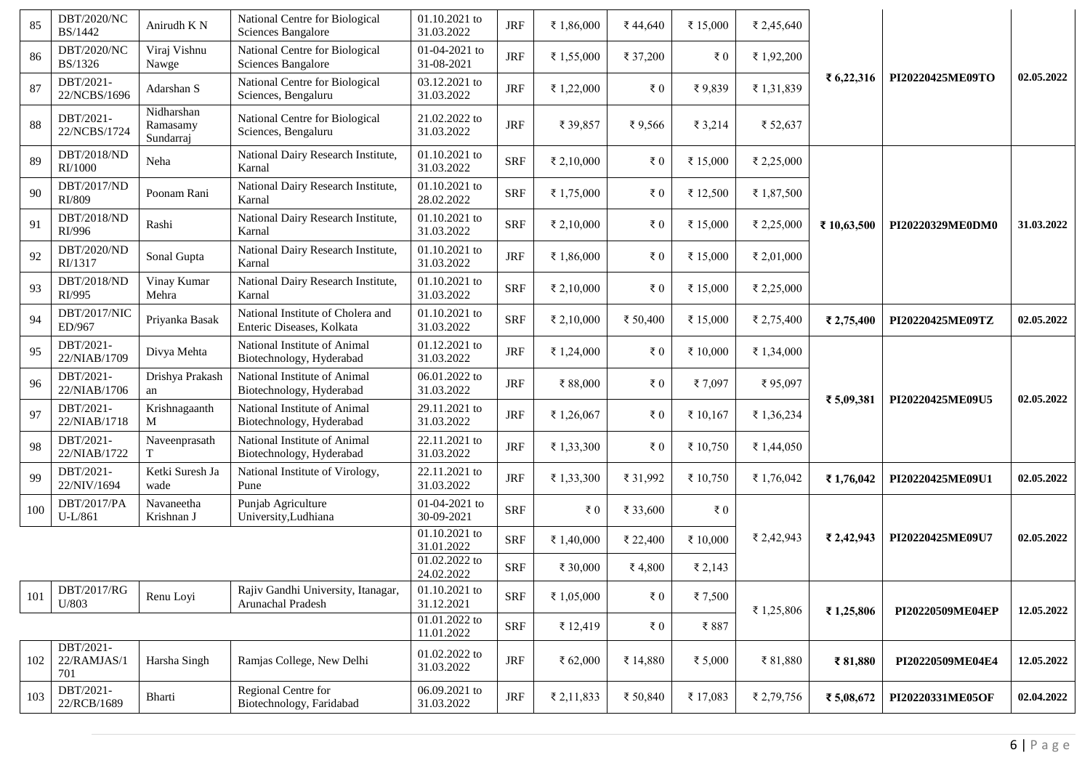| 85  | DBT/2020/NC<br><b>BS/1442</b>   | Anirudh K N                         | National Centre for Biological<br>Sciences Bangalore           | 01.10.2021 to<br>31.03.2022 | <b>JRF</b> | ₹ 1,86,000   | ₹44,640      | ₹ 15,000     | ₹ 2,45,640 |              |                  |            |
|-----|---------------------------------|-------------------------------------|----------------------------------------------------------------|-----------------------------|------------|--------------|--------------|--------------|------------|--------------|------------------|------------|
| 86  | <b>DBT/2020/NC</b><br>BS/1326   | Viraj Vishnu<br>Nawge               | National Centre for Biological<br>Sciences Bangalore           | 01-04-2021 to<br>31-08-2021 | <b>JRF</b> | ₹ 1,55,000   | ₹ 37,200     | $\epsilon$ 0 | ₹ 1,92,200 |              |                  |            |
| 87  | DBT/2021-<br>22/NCBS/1696       | Adarshan S                          | National Centre for Biological<br>Sciences, Bengaluru          | 03.12.2021 to<br>31.03.2022 | <b>JRF</b> | ₹ 1,22,000   | ₹ $0$        | ₹9,839       | ₹ 1,31,839 | ₹ $6,22,316$ | PI20220425ME09TO | 02.05.2022 |
| 88  | DBT/2021-<br>22/NCBS/1724       | Nidharshan<br>Ramasamy<br>Sundarraj | National Centre for Biological<br>Sciences, Bengaluru          | 21.02.2022 to<br>31.03.2022 | <b>JRF</b> | ₹ 39,857     | ₹9,566       | ₹ 3,214      | ₹ 52,637   |              |                  |            |
| 89  | DBT/2018/ND<br>RI/1000          | Neha                                | National Dairy Research Institute,<br>Karnal                   | 01.10.2021 to<br>31.03.2022 | <b>SRF</b> | ₹ 2,10,000   | ₹ $0$        | ₹ 15,000     | ₹ 2,25,000 |              |                  |            |
| 90  | DBT/2017/ND<br>RI/809           | Poonam Rani                         | National Dairy Research Institute,<br>Karnal                   | 01.10.2021 to<br>28.02.2022 | <b>SRF</b> | ₹ 1,75,000   | $\epsilon$ 0 | ₹ 12,500     | ₹ 1,87,500 |              |                  |            |
| 91  | DBT/2018/ND<br>RI/996           | Rashi                               | National Dairy Research Institute,<br>Karnal                   | 01.10.2021 to<br>31.03.2022 | <b>SRF</b> | ₹ 2,10,000   | $\epsilon$ 0 | ₹ 15,000     | ₹ 2,25,000 | ₹ 10,63,500  | PI20220329ME0DM0 | 31.03.2022 |
| 92  | DBT/2020/ND<br>RI/1317          | Sonal Gupta                         | National Dairy Research Institute,<br>Karnal                   | 01.10.2021 to<br>31.03.2022 | <b>JRF</b> | ₹ 1,86,000   | ₹ $0$        | ₹ 15,000     | ₹ 2,01,000 |              |                  |            |
| 93  | DBT/2018/ND<br>RI/995           | Vinay Kumar<br>Mehra                | National Dairy Research Institute,<br>Karnal                   | 01.10.2021 to<br>31.03.2022 | <b>SRF</b> | ₹ 2,10,000   | ₹ $0$        | ₹ 15,000     | ₹ 2,25,000 |              |                  |            |
| 94  | DBT/2017/NIC<br>ED/967          | Priyanka Basak                      | National Institute of Cholera and<br>Enteric Diseases, Kolkata | 01.10.2021 to<br>31.03.2022 | <b>SRF</b> | ₹ 2,10,000   | ₹ 50,400     | ₹ 15,000     | ₹ 2,75,400 | ₹ 2,75,400   | PI20220425ME09TZ | 02.05.2022 |
| 95  | DBT/2021-<br>22/NIAB/1709       | Divya Mehta                         | National Institute of Animal<br>Biotechnology, Hyderabad       | 01.12.2021 to<br>31.03.2022 | <b>JRF</b> | ₹ 1,24,000   | ₹ $0$        | ₹ 10,000     | ₹ 1,34,000 |              |                  |            |
| 96  | DBT/2021-<br>22/NIAB/1706       | Drishya Prakash<br>an               | National Institute of Animal<br>Biotechnology, Hyderabad       | 06.01.2022 to<br>31.03.2022 | <b>JRF</b> | ₹ 88,000     | ₹ $0$        | ₹ 7,097      | ₹95,097    |              |                  |            |
| 97  | DBT/2021-<br>22/NIAB/1718       | Krishnagaanth<br>M                  | National Institute of Animal<br>Biotechnology, Hyderabad       | 29.11.2021 to<br>31.03.2022 | <b>JRF</b> | ₹ 1,26,067   | ₹ $0$        | ₹ 10,167     | ₹ 1,36,234 | ₹ 5,09,381   | PI20220425ME09U5 | 02.05.2022 |
| 98  | DBT/2021-<br>22/NIAB/1722       | Naveenprasath<br>T                  | National Institute of Animal<br>Biotechnology, Hyderabad       | 22.11.2021 to<br>31.03.2022 | <b>JRF</b> | ₹ 1,33,300   | ₹ $0$        | ₹ 10,750     | ₹ 1,44,050 |              |                  |            |
| 99  | DBT/2021-<br>22/NIV/1694        | Ketki Suresh Ja<br>wade             | National Institute of Virology,<br>Pune                        | 22.11.2021 to<br>31.03.2022 | <b>JRF</b> | ₹ 1,33,300   | ₹ 31,992     | ₹ 10,750     | ₹ 1,76,042 | ₹1,76,042    | PI20220425ME09U1 | 02.05.2022 |
| 100 | DBT/2017/PA<br>$U-L/861$        | Navaneetha<br>Krishnan J            | Punjab Agriculture<br>University, Ludhiana                     | 01-04-2021 to<br>30-09-2021 | <b>SRF</b> | $\epsilon$ 0 | ₹ 33,600     | $\epsilon$ 0 |            |              |                  |            |
|     |                                 |                                     |                                                                | 01.10.2021 to<br>31.01.2022 | <b>SRF</b> | ₹ 1,40,000   | ₹ 22,400     | ₹ 10,000     | ₹ 2,42,943 | ₹ 2,42,943   | PI20220425ME09U7 | 02.05.2022 |
|     |                                 |                                     |                                                                | 01.02.2022 to<br>24.02.2022 | <b>SRF</b> | ₹ 30,000     | ₹4,800       | ₹ 2,143      |            |              |                  |            |
| 101 | DBT/2017/RG<br>U/803            | Renu Loyi                           | Rajiv Gandhi University, Itanagar,<br>Arunachal Pradesh        | 01.10.2021 to<br>31.12.2021 | <b>SRF</b> | ₹ 1,05,000   | ₹ $0$        | ₹7,500       | ₹ 1,25,806 | ₹1,25,806    | PI20220509ME04EP | 12.05.2022 |
|     |                                 |                                     |                                                                | 01.01.2022 to<br>11.01.2022 | <b>SRF</b> | ₹ 12,419     | $\epsilon$ 0 | ₹887         |            |              |                  |            |
| 102 | DBT/2021-<br>22/RAMJAS/1<br>701 | Harsha Singh                        | Ramjas College, New Delhi                                      | 01.02.2022 to<br>31.03.2022 | <b>JRF</b> | ₹ 62,000     | ₹ 14,880     | ₹ 5,000      | ₹ 81,880   | ₹81,880      | PI20220509ME04E4 | 12.05.2022 |
| 103 | DBT/2021-<br>22/RCB/1689        | Bharti                              | Regional Centre for<br>Biotechnology, Faridabad                | 06.09.2021 to<br>31.03.2022 | <b>JRF</b> | ₹ 2,11,833   | ₹ 50,840     | ₹ 17,083     | ₹ 2,79,756 | ₹ 5,08,672   | PI20220331ME05OF | 02.04.2022 |